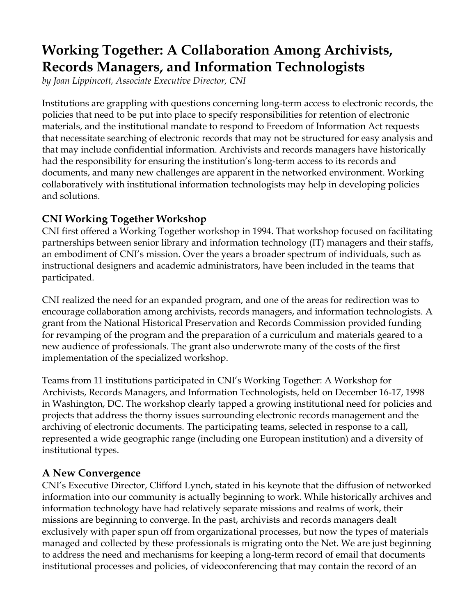# **Working Together: A Collaboration Among Archivists, Records Managers, and Information Technologists**

*by Joan Lippincott, Associate Executive Director, CNI*

Institutions are grappling with questions concerning long-term access to electronic records, the policies that need to be put into place to specify responsibilities for retention of electronic materials, and the institutional mandate to respond to Freedom of Information Act requests that necessitate searching of electronic records that may not be structured for easy analysis and that may include confidential information. Archivists and records managers have historically had the responsibility for ensuring the institution's long-term access to its records and documents, and many new challenges are apparent in the networked environment. Working collaboratively with institutional information technologists may help in developing policies and solutions.

# **CNI Working Together Workshop**

CNI first offered a Working Together workshop in 1994. That workshop focused on facilitating partnerships between senior library and information technology (IT) managers and their staffs, an embodiment of CNI's mission. Over the years a broader spectrum of individuals, such as instructional designers and academic administrators, have been included in the teams that participated.

CNI realized the need for an expanded program, and one of the areas for redirection was to encourage collaboration among archivists, records managers, and information technologists. A grant from the National Historical Preservation and Records Commission provided funding for revamping of the program and the preparation of a curriculum and materials geared to a new audience of professionals. The grant also underwrote many of the costs of the first implementation of the specialized workshop.

Teams from 11 institutions participated in CNI's Working Together: A Workshop for Archivists, Records Managers, and Information Technologists, held on December 16-17, 1998 in Washington, DC. The workshop clearly tapped a growing institutional need for policies and projects that address the thorny issues surrounding electronic records management and the archiving of electronic documents. The participating teams, selected in response to a call, represented a wide geographic range (including one European institution) and a diversity of institutional types.

# **A New Convergence**

CNI's Executive Director, Clifford Lynch, stated in his keynote that the diffusion of networked information into our community is actually beginning to work. While historically archives and information technology have had relatively separate missions and realms of work, their missions are beginning to converge. In the past, archivists and records managers dealt exclusively with paper spun off from organizational processes, but now the types of materials managed and collected by these professionals is migrating onto the Net. We are just beginning to address the need and mechanisms for keeping a long-term record of email that documents institutional processes and policies, of videoconferencing that may contain the record of an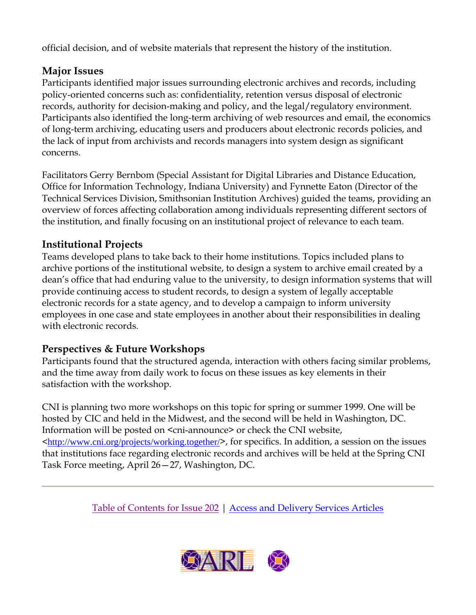official decision, and of website materials that represent the history of the institution.

### **Major Issues**

Participants identified major issues surrounding electronic archives and records, including policy-oriented concerns such as: confidentiality, retention versus disposal of electronic records, authority for decision-making and policy, and the legal/regulatory environment. Participants also identified the long-term archiving of web resources and email, the economics of long-term archiving, educating users and producers about electronic records policies, and the lack of input from archivists and records managers into system design as significant concerns.

Facilitators Gerry Bernbom (Special Assistant for Digital Libraries and Distance Education, Office for Information Technology, Indiana University) and Fynnette Eaton (Director of the Technical Services Division, Smithsonian Institution Archives) guided the teams, providing an overview of forces affecting collaboration among individuals representing different sectors of the institution, and finally focusing on an institutional project of relevance to each team.

#### **Institutional Projects**

Teams developed plans to take back to their home institutions. Topics included plans to archive portions of the institutional website, to design a system to archive email created by a dean's office that had enduring value to the university, to design information systems that will provide continuing access to student records, to design a system of legally acceptable electronic records for a state agency, and to develop a campaign to inform university employees in one case and state employees in another about their responsibilities in dealing with electronic records.

# **Perspectives & Future Workshops**

Participants found that the structured agenda, interaction with others facing similar problems, and the time away from daily work to focus on these issues as key elements in their satisfaction with the workshop.

CNI is planning two more workshops on this topic for spring or summer 1999. One will be hosted by CIC and held in the Midwest, and the second will be held in Washington, DC. Information will be posted on  $\leq$  cni-announce or check the CNI website, <http://www.cni.org/projects/working.together/>, for specifics. In addition, a session on the issues that institutions face regarding electronic records and archives will be held at the Spring CNI Task Force meeting, April 26—27, Washington, DC.

Table of Contents for Issue 202 | Access and Delivery Services Articles